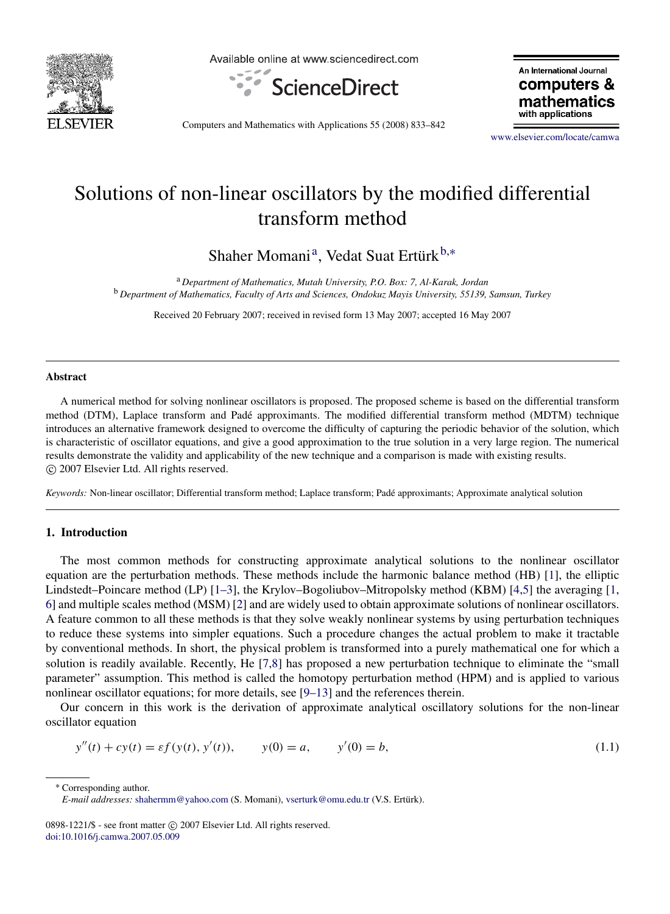

Available online at www.sciencedirect.com



An International Journal computers & mathematics with applications

Computers and Mathematics with Applications 55 (2008) 833–842

www.elsevier.com/locate/camwa

# Solutions of non-linear oscillators by the modified differential transform method

Shaher Momani<sup>a</sup>, Vedat Suat Ertürk<sup>b,\*</sup>

<sup>a</sup> *Department of Mathematics, Mutah University, P.O. Box: 7, Al-Karak, Jordan* <sup>b</sup> *Department of Mathematics, Faculty of Arts and Sciences, Ondokuz Mayis University, 55139, Samsun, Turkey*

Received 20 February 2007; received in revised form 13 May 2007; accepted 16 May 2007

## Abstract

A numerical method for solving nonlinear oscillators is proposed. The proposed scheme is based on the differential transform method (DTM), Laplace transform and Pade approximants. The modified differential transform method (MDTM) technique ´ introduces an alternative framework designed to overcome the difficulty of capturing the periodic behavior of the solution, which is characteristic of oscillator equations, and give a good approximation to the true solution in a very large region. The numerical results demonstrate the validity and applicability of the new technique and a comparison is made with existing results. c 2007 Elsevier Ltd. All rights reserved.

*Keywords:* Non-linear oscillator; Differential transform method; Laplace transform; Pade approximants; Approximate analytical solution ´

## 1. Introduction

The most common methods for constructing approximate analytical solutions to the nonlinear oscillator equation are the perturbation methods. These methods include the harmonic balance method (HB) [1], the elliptic Lindstedt–Poincare method (LP) [1–3], the Krylov–Bogoliubov–Mitropolsky method (KBM) [4,5] the averaging [1, 6] and multiple scales method (MSM) [2] and are widely used to obtain approximate solutions of nonlinear oscillators. A feature common to all these methods is that they solve weakly nonlinear systems by using perturbation techniques to reduce these systems into simpler equations. Such a procedure changes the actual problem to make it tractable by conventional methods. In short, the physical problem is transformed into a purely mathematical one for which a solution is readily available. Recently, He [7,8] has proposed a new perturbation technique to eliminate the "small parameter" assumption. This method is called the homotopy perturbation method (HPM) and is applied to various nonlinear oscillator equations; for more details, see [9–13] and the references therein.

Our concern in this work is the derivation of approximate analytical oscillatory solutions for the non-linear oscillator equation

 $y''(t) + cy(t) = \varepsilon f(y(t), y'(t)),$   $y(0) = a,$   $y'(0) = b,$  (1.1)

<sup>∗</sup> Corresponding author.

0898-1221/\$ - see front matter © 2007 Elsevier Ltd. All rights reserved. doi:10.1016/j.camwa.2007.05.009

*E-mail addresses:* shahermm@yahoo.com (S. Momani), vserturk@omu.edu.tr (V.S. Erturk). ¨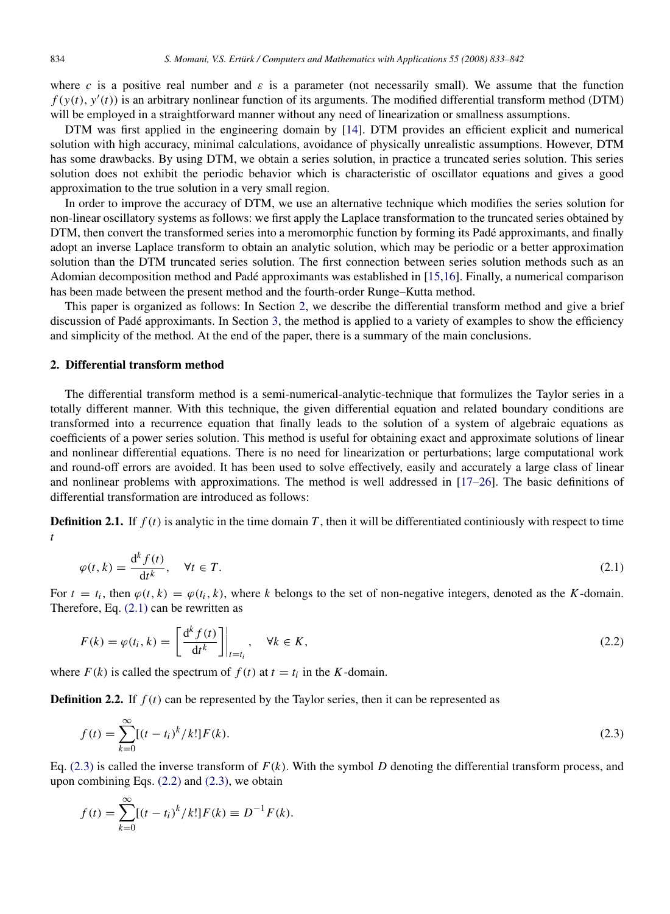where *c* is a positive real number and  $\varepsilon$  is a parameter (not necessarily small). We assume that the function  $f(y(t), y'(t))$  is an arbitrary nonlinear function of its arguments. The modified differential transform method (DTM) will be employed in a straightforward manner without any need of linearization or smallness assumptions.

DTM was first applied in the engineering domain by [14]. DTM provides an efficient explicit and numerical solution with high accuracy, minimal calculations, avoidance of physically unrealistic assumptions. However, DTM has some drawbacks. By using DTM, we obtain a series solution, in practice a truncated series solution. This series solution does not exhibit the periodic behavior which is characteristic of oscillator equations and gives a good approximation to the true solution in a very small region.

In order to improve the accuracy of DTM, we use an alternative technique which modifies the series solution for non-linear oscillatory systems as follows: we first apply the Laplace transformation to the truncated series obtained by DTM, then convert the transformed series into a meromorphic function by forming its Pade approximants, and finally ´ adopt an inverse Laplace transform to obtain an analytic solution, which may be periodic or a better approximation solution than the DTM truncated series solution. The first connection between series solution methods such as an Adomian decomposition method and Padé approximants was established in [15,16]. Finally, a numerical comparison has been made between the present method and the fourth-order Runge–Kutta method.

This paper is organized as follows: In Section 2, we describe the differential transform method and give a brief discussion of Padé approximants. In Section  $3$ , the method is applied to a variety of examples to show the efficiency and simplicity of the method. At the end of the paper, there is a summary of the main conclusions.

# 2. Differential transform method

The differential transform method is a semi-numerical-analytic-technique that formulizes the Taylor series in a totally different manner. With this technique, the given differential equation and related boundary conditions are transformed into a recurrence equation that finally leads to the solution of a system of algebraic equations as coefficients of a power series solution. This method is useful for obtaining exact and approximate solutions of linear and nonlinear differential equations. There is no need for linearization or perturbations; large computational work and round-off errors are avoided. It has been used to solve effectively, easily and accurately a large class of linear and nonlinear problems with approximations. The method is well addressed in [17–26]. The basic definitions of differential transformation are introduced as follows:

**Definition 2.1.** If  $f(t)$  is analytic in the time domain  $T$ , then it will be differentiated continiously with respect to time *t*

$$
\varphi(t,k) = \frac{\mathrm{d}^k f(t)}{\mathrm{d}t^k}, \quad \forall t \in T.
$$
\n(2.1)

For  $t = t_i$ , then  $\varphi(t, k) = \varphi(t_i, k)$ , where *k* belongs to the set of non-negative integers, denoted as the *K*-domain. Therefore, Eq. (2.1) can be rewritten as

$$
F(k) = \varphi(t_i, k) = \left[\frac{\mathrm{d}^k f(t)}{\mathrm{d}t^k}\right]_{t=t_i}, \quad \forall k \in K,
$$
\n(2.2)

where  $F(k)$  is called the spectrum of  $f(t)$  at  $t = t_i$  in the *K*-domain.

**Definition 2.2.** If  $f(t)$  can be represented by the Taylor series, then it can be represented as

$$
f(t) = \sum_{k=0}^{\infty} [(t - t_i)^k / k!] F(k).
$$
 (2.3)

Eq.  $(2.3)$  is called the inverse transform of  $F(k)$ . With the symbol *D* denoting the differential transform process, and upon combining Eqs. (2.2) and (2.3), we obtain

$$
f(t) = \sum_{k=0}^{\infty} [(t - t_i)^k / k!] F(k) \equiv D^{-1} F(k).
$$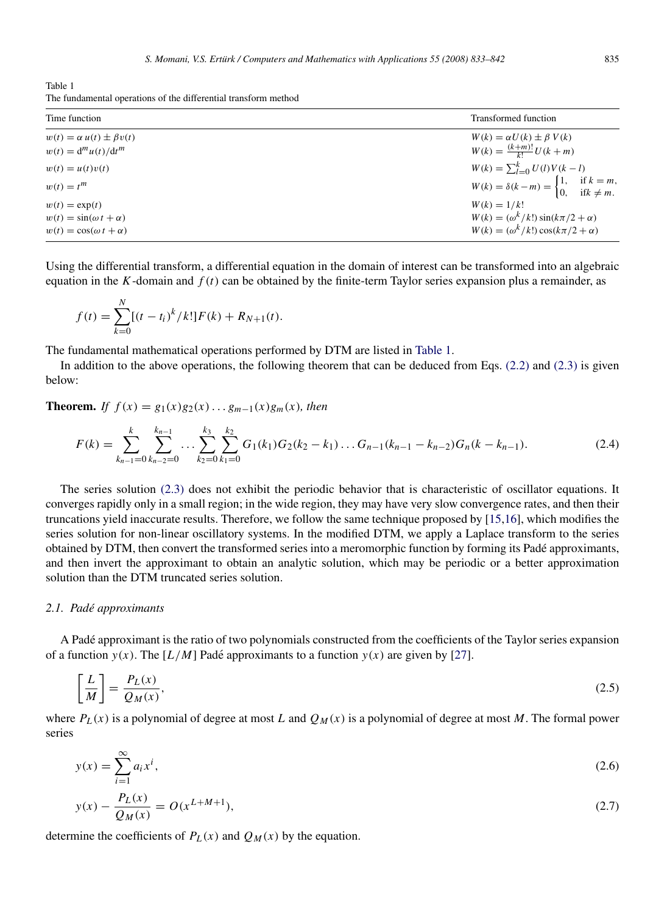Table 1 The fundamental operations of the differential transform method

| Time function                       | Transformed function                                                                               |
|-------------------------------------|----------------------------------------------------------------------------------------------------|
| $w(t) = \alpha u(t) \pm \beta v(t)$ | $W(k) = \alpha U(k) \pm \beta V(k)$                                                                |
| $w(t) = dmu(t)/dtm$                 | $W(k) = \frac{(k+m)!}{k!}U(k+m)$                                                                   |
| $w(t) = u(t)v(t)$                   | $W(k) = \sum_{l=0}^{k} U(l) V(k-l)$                                                                |
| $w(t) = t^m$                        | $W(k) = \delta(k-m) = \begin{cases} 1, & \text{if } k=m, \\ 0, & \text{if } k \neq m. \end{cases}$ |
| $w(t) = \exp(t)$                    | $W(k) = 1/k!$                                                                                      |
| $w(t) = \sin(\omega t + \alpha)$    | $W(k) = (\omega^k/k!) \sin(k\pi/2 + \alpha)$                                                       |
| $w(t) = \cos(\omega t + \alpha)$    | $W(k) = (\omega^k/k!) \cos(k\pi/2 + \alpha)$                                                       |

Using the differential transform, a differential equation in the domain of interest can be transformed into an algebraic equation in the  $K$ -domain and  $f(t)$  can be obtained by the finite-term Taylor series expansion plus a remainder, as

$$
f(t) = \sum_{k=0}^{N} [(t - t_i)^k / k!] F(k) + R_{N+1}(t).
$$

The fundamental mathematical operations performed by DTM are listed in Table 1.

In addition to the above operations, the following theorem that can be deduced from Eqs. (2.2) and (2.3) is given below:

**Theorem.** *If*  $f(x) = g_1(x)g_2(x) \dots g_{m-1}(x)g_m(x)$ , then

$$
F(k) = \sum_{k_{n-1}=0}^{k} \sum_{k_{n-2}=0}^{k_{n-1}} \dots \sum_{k_2=0}^{k_3} \sum_{k_1=0}^{k_2} G_1(k_1) G_2(k_2 - k_1) \dots G_{n-1}(k_{n-1} - k_{n-2}) G_n(k - k_{n-1}).
$$
\n(2.4)

The series solution (2.3) does not exhibit the periodic behavior that is characteristic of oscillator equations. It converges rapidly only in a small region; in the wide region, they may have very slow convergence rates, and then their truncations yield inaccurate results. Therefore, we follow the same technique proposed by [15,16], which modifies the series solution for non-linear oscillatory systems. In the modified DTM, we apply a Laplace transform to the series obtained by DTM, then convert the transformed series into a meromorphic function by forming its Pade approximants, ´ and then invert the approximant to obtain an analytic solution, which may be periodic or a better approximation solution than the DTM truncated series solution.

#### *2.1. Pade approximants ´*

A Pade approximant is the ratio of two polynomials constructed from the coefficients of the Taylor series expansion ´ of a function  $y(x)$ . The  $[L/M]$  Padé approximants to a function  $y(x)$  are given by [27].

$$
\left[\frac{L}{M}\right] = \frac{P_L(x)}{Q_M(x)},\tag{2.5}
$$

where  $P_L(x)$  is a polynomial of degree at most *L* and  $Q_M(x)$  is a polynomial of degree at most *M*. The formal power series

$$
y(x) = \sum_{i=1}^{\infty} a_i x^i,
$$
\n(2.6)

$$
y(x) - \frac{P_L(x)}{Q_M(x)} = O(x^{L+M+1}),
$$
\n(2.7)

determine the coefficients of  $P_L(x)$  and  $Q_M(x)$  by the equation.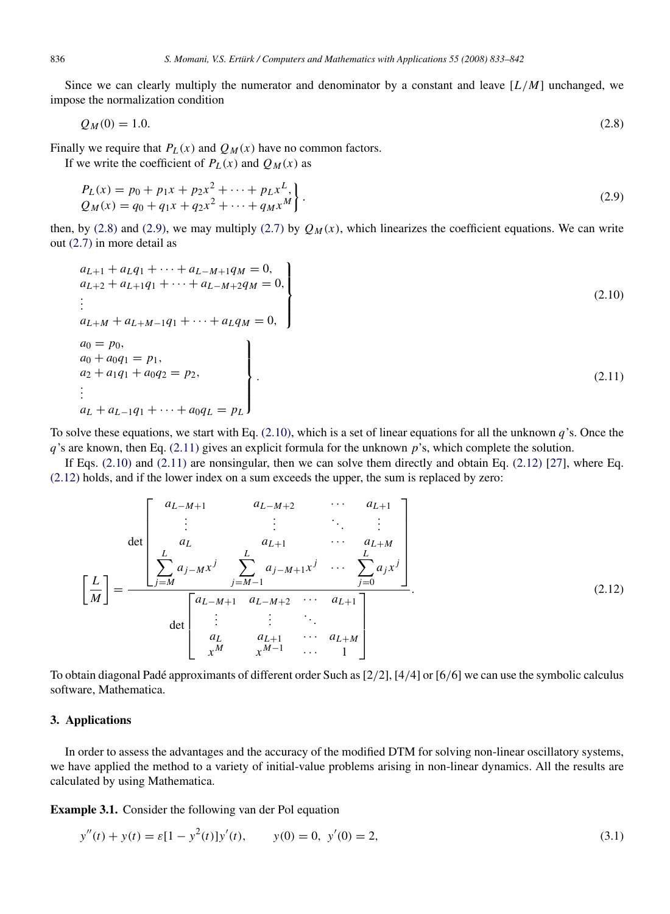Since we can clearly multiply the numerator and denominator by a constant and leave  $[L/M]$  unchanged, we impose the normalization condition

$$
Q_M(0) = 1.0.\t(2.8)
$$

Finally we require that  $P_L(x)$  and  $Q_M(x)$  have no common factors.

If we write the coefficient of  $P_L(x)$  and  $Q_M(x)$  as

$$
P_L(x) = p_0 + p_1 x + p_2 x^2 + \dots + p_L x^L,
$$
  
\n
$$
Q_M(x) = q_0 + q_1 x + q_2 x^2 + \dots + q_M x^M.
$$
\n(2.9)

then, by (2.8) and (2.9), we may multiply (2.7) by  $Q_M(x)$ , which linearizes the coefficient equations. We can write out (2.7) in more detail as

$$
a_{L+1} + a_L q_1 + \dots + a_{L-M+1} q_M = 0,
$$
  
\n
$$
a_{L+2} + a_{L+1} q_1 + \dots + a_{L-M+2} q_M = 0,
$$
  
\n
$$
\vdots
$$
  
\n
$$
a_0 = p_0,
$$
  
\n
$$
a_0 + a_0 q_1 = p_1,
$$
  
\n
$$
a_2 + a_1 q_1 + a_0 q_2 = p_2,
$$
  
\n
$$
\vdots
$$
  
\n
$$
a_L + a_{L-1} q_1 + \dots + a_0 q_L = p_L
$$
\n(2.11)

To solve these equations, we start with Eq. (2.10), which is a set of linear equations for all the unknown *q*'s. Once the *q*'s are known, then Eq. (2.11) gives an explicit formula for the unknown *p*'s, which complete the solution.

If Eqs.  $(2.10)$  and  $(2.11)$  are nonsingular, then we can solve them directly and obtain Eq.  $(2.12)$  [27], where Eq. (2.12) holds, and if the lower index on a sum exceeds the upper, the sum is replaced by zero:

$$
\left[\frac{L}{M}\right] = \frac{\begin{bmatrix} a_{L-M+1} & a_{L-M+2} & \cdots & a_{L+1} \\ \vdots & \vdots & \ddots & \vdots \\ a_{L} & a_{L+1} & \cdots & a_{L+M} \\ \sum_{j=M}^{L} a_{j-M} x^{j} & \sum_{j=M-1}^{L} a_{j-M+1} x^{j} & \cdots & \sum_{j=0}^{L} a_{j} x^{j} \end{bmatrix}}{\begin{bmatrix} a_{L-M+1} & a_{L-M+2} & \cdots & a_{L+1} \\ \vdots & \vdots & \ddots & \vdots \\ a_{L} & a_{L+1} & \cdots & a_{L+M} \\ x^{M} & x^{M-1} & \cdots & 1 \end{bmatrix}}.
$$
\n(2.12)

To obtain diagonal Padé approximants of different order Such as  $[2/2]$ ,  $[4/4]$  or  $[6/6]$  we can use the symbolic calculus software, Mathematica.

# 3. Applications

In order to assess the advantages and the accuracy of the modified DTM for solving non-linear oscillatory systems, we have applied the method to a variety of initial-value problems arising in non-linear dynamics. All the results are calculated by using Mathematica.

Example 3.1. Consider the following van der Pol equation

$$
y''(t) + y(t) = \varepsilon [1 - y^2(t)] y'(t), \qquad y(0) = 0, \ y'(0) = 2,
$$
\n(3.1)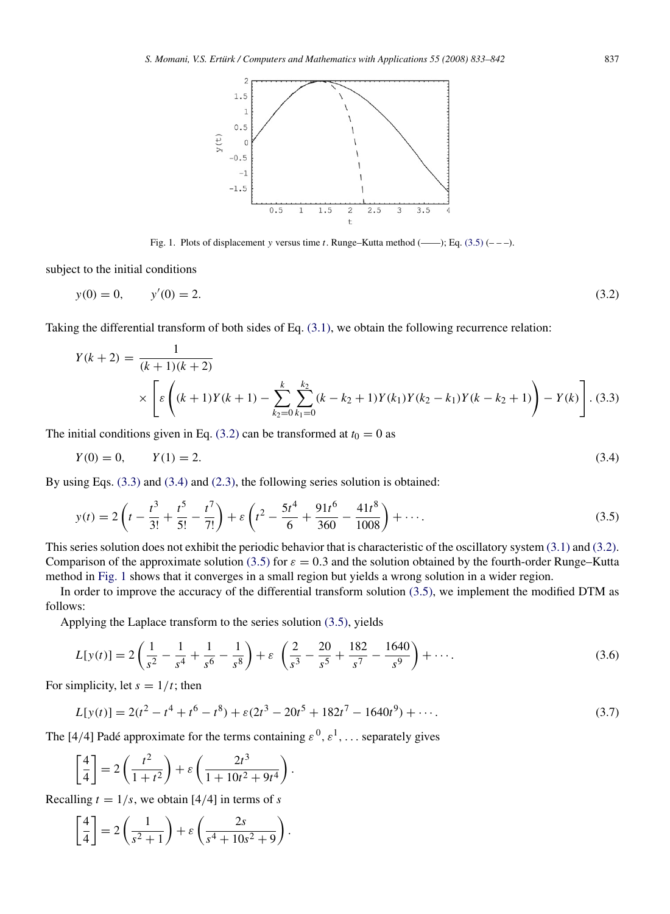

Fig. 1. Plots of displacement *y* versus time *t*. Runge–Kutta method  $(\_\_)$ ; Eq. (3.5)  $(\_\_-)$ .

subject to the initial conditions

$$
y(0) = 0, \qquad y'(0) = 2. \tag{3.2}
$$

Taking the differential transform of both sides of Eq. (3.1), we obtain the following recurrence relation:

$$
Y(k+2) = \frac{1}{(k+1)(k+2)}
$$
  
 
$$
\times \left[ \varepsilon \left( (k+1)Y(k+1) - \sum_{k_2=0}^k \sum_{k_1=0}^{k_2} (k-k_2+1)Y(k_1)Y(k_2-k_1)Y(k-k_2+1) \right) - Y(k) \right].
$$
 (3.3)

The initial conditions given in Eq. (3.2) can be transformed at  $t_0 = 0$  as

$$
Y(0) = 0, \t Y(1) = 2. \t (3.4)
$$

By using Eqs. (3.3) and (3.4) and (2.3), the following series solution is obtained:

$$
y(t) = 2\left(t - \frac{t^3}{3!} + \frac{t^5}{5!} - \frac{t^7}{7!}\right) + \varepsilon\left(t^2 - \frac{5t^4}{6} + \frac{91t^6}{360} - \frac{41t^8}{1008}\right) + \cdots
$$
 (3.5)

This series solution does not exhibit the periodic behavior that is characteristic of the oscillatory system (3.1) and (3.2). Comparison of the approximate solution (3.5) for  $\varepsilon = 0.3$  and the solution obtained by the fourth-order Runge–Kutta method in Fig. 1 shows that it converges in a small region but yields a wrong solution in a wider region.

In order to improve the accuracy of the differential transform solution (3.5), we implement the modified DTM as follows:

Applying the Laplace transform to the series solution (3.5), yields

$$
L[y(t)] = 2\left(\frac{1}{s^2} - \frac{1}{s^4} + \frac{1}{s^6} - \frac{1}{s^8}\right) + \varepsilon \left(\frac{2}{s^3} - \frac{20}{s^5} + \frac{182}{s^7} - \frac{1640}{s^9}\right) + \cdots
$$
 (3.6)

For simplicity, let  $s = 1/t$ ; then

$$
L[y(t)] = 2(t^2 - t^4 + t^6 - t^8) + \varepsilon(2t^3 - 20t^5 + 182t^7 - 1640t^9) + \cdots
$$
\n(3.7)

The [4/4] Padé approximate for the terms containing  $\varepsilon^0, \varepsilon^1, \ldots$  separately gives

$$
\left[\frac{4}{4}\right] = 2\left(\frac{t^2}{1+t^2}\right) + \varepsilon\left(\frac{2t^3}{1+10t^2+9t^4}\right).
$$

Recalling  $t = 1/s$ , we obtain [4/4] in terms of *s* 

$$
\left[\frac{4}{4}\right] = 2\left(\frac{1}{s^2+1}\right) + \varepsilon\left(\frac{2s}{s^4+10s^2+9}\right).
$$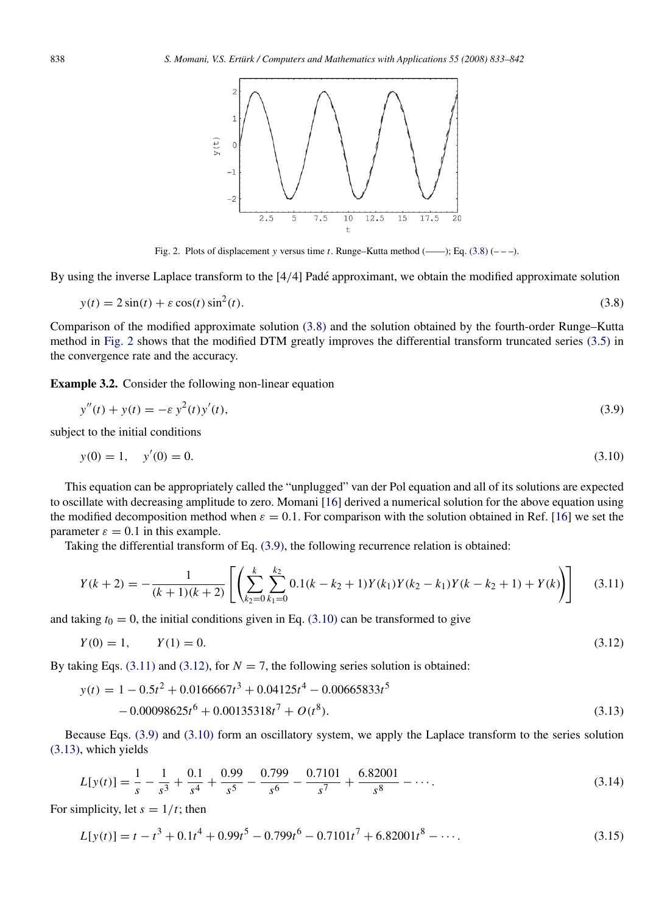

Fig. 2. Plots of displacement *y* versus time *t*. Runge–Kutta method (——); Eq.  $(3.8)$  (---).

By using the inverse Laplace transform to the  $[4/4]$  Padé approximant, we obtain the modified approximate solution

$$
y(t) = 2\sin(t) + \varepsilon\cos(t)\sin^2(t). \tag{3.8}
$$

Comparison of the modified approximate solution (3.8) and the solution obtained by the fourth-order Runge–Kutta method in Fig. 2 shows that the modified DTM greatly improves the differential transform truncated series (3.5) in the convergence rate and the accuracy.

Example 3.2. Consider the following non-linear equation

$$
y''(t) + y(t) = -\varepsilon y^2(t)y'(t),
$$
\n(3.9)

subject to the initial conditions

$$
y(0) = 1, \quad y'(0) = 0. \tag{3.10}
$$

This equation can be appropriately called the "unplugged" van der Pol equation and all of its solutions are expected to oscillate with decreasing amplitude to zero. Momani [16] derived a numerical solution for the above equation using the modified decomposition method when  $\varepsilon = 0.1$ . For comparison with the solution obtained in Ref. [16] we set the parameter  $\varepsilon = 0.1$  in this example.

Taking the differential transform of Eq. (3.9), the following recurrence relation is obtained:

$$
Y(k+2) = -\frac{1}{(k+1)(k+2)} \left[ \left( \sum_{k_2=0}^{k} \sum_{k_1=0}^{k_2} 0.1(k-k_2+1) Y(k_1) Y(k_2-k_1) Y(k-k_2+1) + Y(k) \right) \right]
$$
(3.11)

and taking  $t_0 = 0$ , the initial conditions given in Eq. (3.10) can be transformed to give

$$
Y(0) = 1, \qquad Y(1) = 0. \tag{3.12}
$$

By taking Eqs.  $(3.11)$  and  $(3.12)$ , for  $N = 7$ , the following series solution is obtained:

$$
y(t) = 1 - 0.5t2 + 0.0166667t3 + 0.04125t4 - 0.00665833t5
$$
  
- 0.00098625t<sup>6</sup> + 0.00135318t<sup>7</sup> + O(t<sup>8</sup>). (3.13)

Because Eqs. (3.9) and (3.10) form an oscillatory system, we apply the Laplace transform to the series solution (3.13), which yields

$$
L[y(t)] = \frac{1}{s} - \frac{1}{s^3} + \frac{0.1}{s^4} + \frac{0.99}{s^5} - \frac{0.799}{s^6} - \frac{0.7101}{s^7} + \frac{6.82001}{s^8} - \dotsb. \tag{3.14}
$$

For simplicity, let  $s = 1/t$ ; then

$$
L[y(t)] = t - t3 + 0.1t4 + 0.99t5 - 0.799t6 - 0.7101t7 + 6.82001t8 - \cdots
$$
 (3.15)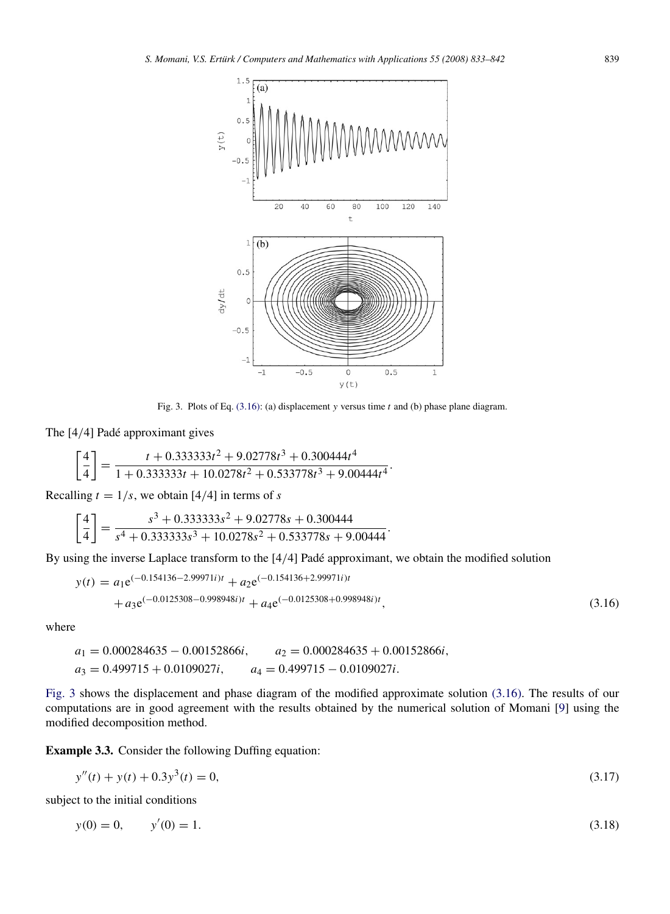

Fig. 3. Plots of Eq. (3.16): (a) displacement *y* versus time *t* and (b) phase plane diagram.

The  $[4/4]$  Padé approximant gives

$$
\[\frac{4}{4}\] = \frac{t + 0.333333t^2 + 9.02778t^3 + 0.300444t^4}{1 + 0.333333t + 10.0278t^2 + 0.533778t^3 + 9.00444t^4}.
$$

Recalling  $t = 1/s$ , we obtain [4/4] in terms of *s* 

$$
\[\frac{4}{4}\] = \frac{s^3 + 0.333333s^2 + 9.02778s + 0.300444}{s^4 + 0.333333s^3 + 10.0278s^2 + 0.533778s + 9.00444}
$$

By using the inverse Laplace transform to the  $[4/4]$  Padé approximant, we obtain the modified solution

$$
y(t) = a_1 e^{(-0.154136 - 2.99971i)t} + a_2 e^{(-0.154136 + 2.99971i)t} + a_3 e^{(-0.0125308 - 0.998948i)t} + a_4 e^{(-0.0125308 + 0.998948i)t},
$$
\n(3.16)

.

where

*a*<sup>1</sup> = 0.000284635 − 0.00152866*i*, *a*<sup>2</sup> = 0.000284635 + 0.00152866*i*, *a*<sup>3</sup> = 0.499715 + 0.0109027*i*, *a*<sup>4</sup> = 0.499715 − 0.0109027*i*.

Fig. 3 shows the displacement and phase diagram of the modified approximate solution (3.16). The results of our computations are in good agreement with the results obtained by the numerical solution of Momani [9] using the modified decomposition method.

Example 3.3. Consider the following Duffing equation:

$$
y''(t) + y(t) + 0.3y^{3}(t) = 0,
$$
\n(3.17)

subject to the initial conditions

$$
y(0) = 0, \qquad y'(0) = 1. \tag{3.18}
$$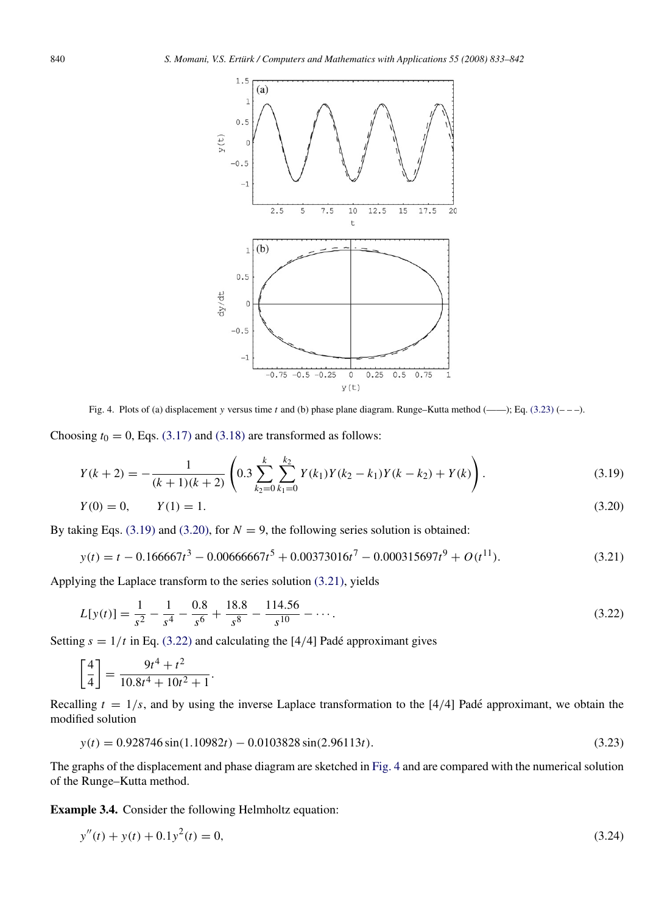

Fig. 4. Plots of (a) displacement *y* versus time *t* and (b) phase plane diagram. Runge–Kutta method (——); Eq. (3.23) (– – –).

Choosing  $t_0 = 0$ , Eqs. (3.17) and (3.18) are transformed as follows:

$$
Y(k+2) = -\frac{1}{(k+1)(k+2)} \left( 0.3 \sum_{k_2=0}^{k} \sum_{k_1=0}^{k_2} Y(k_1) Y(k_2 - k_1) Y(k - k_2) + Y(k) \right). \tag{3.19}
$$

$$
Y(0) = 0, \t Y(1) = 1. \t (3.20)
$$

By taking Eqs. (3.19) and (3.20), for  $N = 9$ , the following series solution is obtained:

$$
y(t) = t - 0.166667t^3 - 0.00666667t^5 + 0.00373016t^7 - 0.000315697t^9 + O(t^{11}).
$$
\n(3.21)

Applying the Laplace transform to the series solution (3.21), yields

$$
L[y(t)] = \frac{1}{s^2} - \frac{1}{s^4} - \frac{0.8}{s^6} + \frac{18.8}{s^8} - \frac{114.56}{s^{10}} - \dotsb. \tag{3.22}
$$

Setting  $s = 1/t$  in Eq. (3.22) and calculating the [4/4] Padé approximant gives

$$
\[\frac{4}{4}\] = \frac{9t^4 + t^2}{10.8t^4 + 10t^2 + 1}.
$$

Recalling  $t = 1/s$ , and by using the inverse Laplace transformation to the [4/4] Padé approximant, we obtain the modified solution

$$
y(t) = 0.928746 \sin(1.10982t) - 0.0103828 \sin(2.96113t). \tag{3.23}
$$

The graphs of the displacement and phase diagram are sketched in Fig. 4 and are compared with the numerical solution of the Runge–Kutta method.

Example 3.4. Consider the following Helmholtz equation:

$$
y''(t) + y(t) + 0.1y^{2}(t) = 0,
$$
\n(3.24)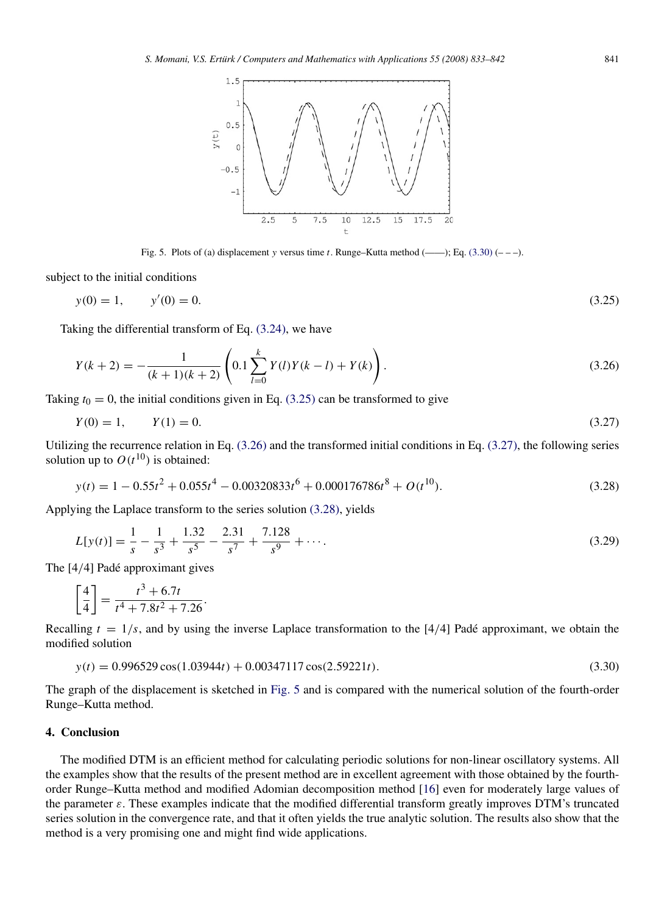

Fig. 5. Plots of (a) displacement *y* versus time *t*. Runge–Kutta method (——); Eq. (3.30) (---).

subject to the initial conditions

$$
y(0) = 1, \qquad y'(0) = 0. \tag{3.25}
$$

Taking the differential transform of Eq. (3.24), we have

$$
Y(k+2) = -\frac{1}{(k+1)(k+2)} \left( 0.1 \sum_{l=0}^{k} Y(l) Y(k-l) + Y(k) \right). \tag{3.26}
$$

Taking  $t_0 = 0$ , the initial conditions given in Eq. (3.25) can be transformed to give

$$
Y(0) = 1, \qquad Y(1) = 0. \tag{3.27}
$$

Utilizing the recurrence relation in Eq. (3.26) and the transformed initial conditions in Eq. (3.27), the following series solution up to  $O(t^{10})$  is obtained:

$$
y(t) = 1 - 0.55t^2 + 0.055t^4 - 0.00320833t^6 + 0.000176786t^8 + O(t^{10}).
$$
\n(3.28)

Applying the Laplace transform to the series solution (3.28), yields

.

$$
L[y(t)] = \frac{1}{s} - \frac{1}{s^3} + \frac{1.32}{s^5} - \frac{2.31}{s^7} + \frac{7.128}{s^9} + \cdots
$$
 (3.29)

The  $[4/4]$  Padé approximant gives

$$
\[\frac{4}{4}\] = \frac{t^3 + 6.7t}{t^4 + 7.8t^2 + 7.26}
$$

Recalling  $t = 1/s$ , and by using the inverse Laplace transformation to the [4/4] Padé approximant, we obtain the modified solution

$$
y(t) = 0.996529 \cos(1.03944t) + 0.00347117 \cos(2.59221t). \tag{3.30}
$$

The graph of the displacement is sketched in Fig. 5 and is compared with the numerical solution of the fourth-order Runge–Kutta method.

# 4. Conclusion

The modified DTM is an efficient method for calculating periodic solutions for non-linear oscillatory systems. All the examples show that the results of the present method are in excellent agreement with those obtained by the fourthorder Runge–Kutta method and modified Adomian decomposition method [16] even for moderately large values of the parameter ε. These examples indicate that the modified differential transform greatly improves DTM's truncated series solution in the convergence rate, and that it often yields the true analytic solution. The results also show that the method is a very promising one and might find wide applications.